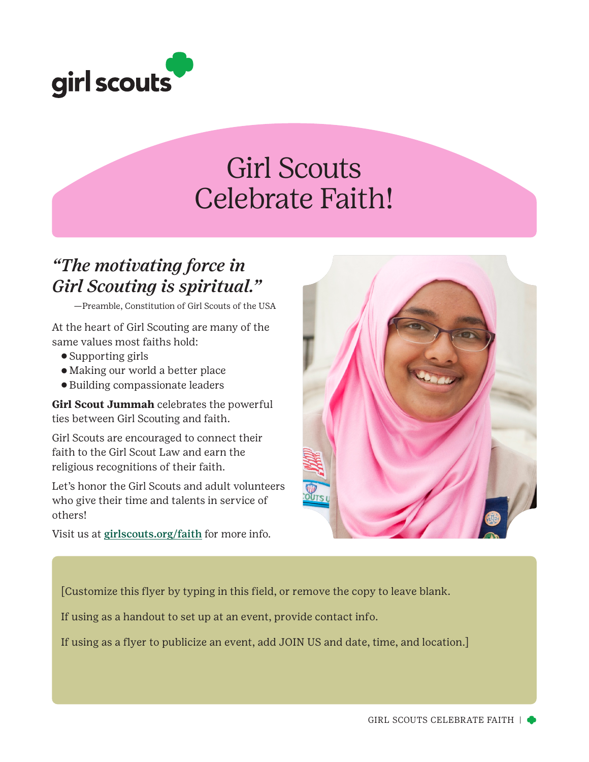

# Girl Scouts Celebrate Faith!

### *"The motivating force in Girl Scouting is spiritual."*

—Preamble, Constitution of Girl Scouts of the USA

At the heart of Girl Scouting are many of the same values most faiths hold:

- ⚬ Supporting girls
- ⚬ Making our world a better place
- ⚬ Building compassionate leaders

**Girl Scout Jummah** celebrates the powerful ties between Girl Scouting and faith.

Girl Scouts are encouraged to connect their faith to the Girl Scout Law and earn the religious recognitions of their faith.

Let's honor the Girl Scouts and adult volunteers who give their time and talents in service of others!

Visit us at girlscouts.org/faith for more info.



[Customize this flyer by typing in this field, or remove the copy to leave blank.

If using as a handout to set up at an event, provide contact info.

If using as a flyer to publicize an event, add JOIN US and date, time, and location.]